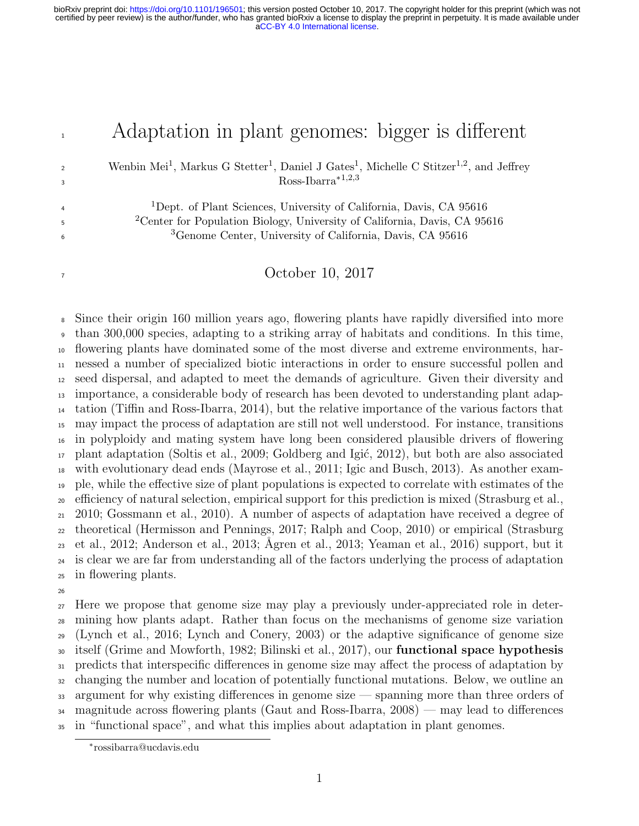## <sup>1</sup> Adaptation in plant genomes: bigger is different

<sup>2</sup> Wenbin Mei<sup>1</sup>, Markus G Stetter<sup>1</sup>, Daniel J Gates<sup>1</sup>, Michelle C Stitzer<sup>1,2</sup>, and Jeffrey  $\text{Ross-Ibarra}^{*1,2,3}$ 

<sup>1</sup>Dept. of Plant Sciences, University of California, Davis, CA 95616 <sup>2</sup> Center for Population Biology, University of California, Davis, CA 95616 Genome Center, University of California, Davis, CA 95616

#### October 10, 2017

 Since their origin 160 million years ago, flowering plants have rapidly diversified into more than 300,000 species, adapting to a striking array of habitats and conditions. In this time, flowering plants have dominated some of the most diverse and extreme environments, har- nessed a number of specialized biotic interactions in order to ensure successful pollen and seed dispersal, and adapted to meet the demands of agriculture. Given their diversity and importance, a considerable body of research has been devoted to understanding plant adap- tation (Tiffin and Ross-Ibarra, 2014), but the relative importance of the various factors that may impact the process of adaptation are still not well understood. For instance, transitions in polyploidy and mating system have long been considered plausible drivers of flowering  $_{17}$  plant adaptation (Soltis et al., 2009; Goldberg and Igić, 2012), but both are also associated with evolutionary dead ends (Mayrose et al., 2011; Igic and Busch, 2013). As another exam- ple, while the effective size of plant populations is expected to correlate with estimates of the efficiency of natural selection, empirical support for this prediction is mixed (Strasburg et al., 2010; Gossmann et al., 2010). A number of aspects of adaptation have received a degree of theoretical (Hermisson and Pennings, 2017; Ralph and Coop, 2010) or empirical (Strasburg 23 et al., 2012; Anderson et al., 2013; Ågren et al., 2013; Yeaman et al., 2016) support, but it is clear we are far from understanding all of the factors underlying the process of adaptation in flowering plants.

 Here we propose that genome size may play a previously under-appreciated role in deter- mining how plants adapt. Rather than focus on the mechanisms of genome size variation (Lynch et al., 2016; Lynch and Conery, 2003) or the adaptive significance of genome size itself (Grime and Mowforth, 1982; Bilinski et al., 2017), our functional space hypothesis predicts that interspecific differences in genome size may affect the process of adaptation by changing the number and location of potentially functional mutations. Below, we outline an argument for why existing differences in genome size — spanning more than three orders of magnitude across flowering plants (Gaut and Ross-Ibarra, 2008) — may lead to differences in "functional space", and what this implies about adaptation in plant genomes.

<sup>∗</sup> rossibarra@ucdavis.edu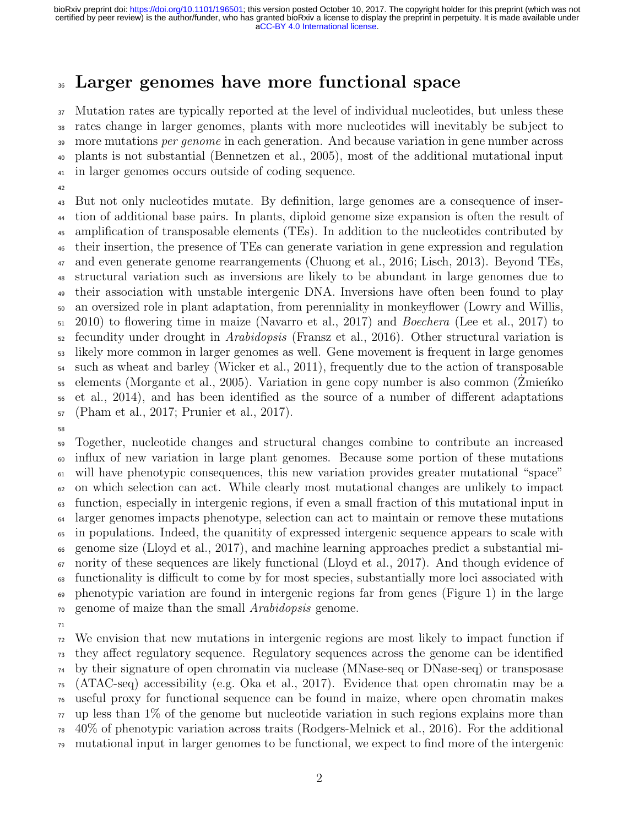### Larger genomes have more functional space

 Mutation rates are typically reported at the level of individual nucleotides, but unless these rates change in larger genomes, plants with more nucleotides will inevitably be subject to 39 more mutations per genome in each generation. And because variation in gene number across plants is not substantial (Bennetzen et al., 2005), most of the additional mutational input in larger genomes occurs outside of coding sequence.

 But not only nucleotides mutate. By definition, large genomes are a consequence of inser- tion of additional base pairs. In plants, diploid genome size expansion is often the result of amplification of transposable elements (TEs). In addition to the nucleotides contributed by their insertion, the presence of TEs can generate variation in gene expression and regulation and even generate genome rearrangements (Chuong et al., 2016; Lisch, 2013). Beyond TEs, structural variation such as inversions are likely to be abundant in large genomes due to their association with unstable intergenic DNA. Inversions have often been found to play an oversized role in plant adaptation, from perenniality in monkeyflower (Lowry and Willis, 2010) to flowering time in maize (Navarro et al., 2017) and Boechera (Lee et al., 2017) to fecundity under drought in *Arabidopsis* (Fransz et al., 2016). Other structural variation is likely more common in larger genomes as well. Gene movement is frequent in large genomes such as wheat and barley (Wicker et al., 2011), frequently due to the action of transposable elements (Morgante et al., 2005). Variation in gene copy number is also common (Zmieńko et al., 2014), and has been identified as the source of a number of different adaptations (Pham et al., 2017; Prunier et al., 2017).

 Together, nucleotide changes and structural changes combine to contribute an increased influx of new variation in large plant genomes. Because some portion of these mutations will have phenotypic consequences, this new variation provides greater mutational "space" on which selection can act. While clearly most mutational changes are unlikely to impact function, especially in intergenic regions, if even a small fraction of this mutational input in <sup>64</sup> larger genomes impacts phenotype, selection can act to maintain or remove these mutations in populations. Indeed, the quanitity of expressed intergenic sequence appears to scale with genome size (Lloyd et al., 2017), and machine learning approaches predict a substantial mi- $\sigma$  nority of these sequences are likely functional (Lloyd et al., 2017). And though evidence of functionality is difficult to come by for most species, substantially more loci associated with phenotypic variation are found in intergenic regions far from genes (Figure 1) in the large genome of maize than the small Arabidopsis genome.

 We envision that new mutations in intergenic regions are most likely to impact function if they affect regulatory sequence. Regulatory sequences across the genome can be identified by their signature of open chromatin via nuclease (MNase-seq or DNase-seq) or transposase (ATAC-seq) accessibility (e.g. Oka et al., 2017). Evidence that open chromatin may be a useful proxy for functional sequence can be found in maize, where open chromatin makes  $\pi$  up less than 1% of the genome but nucleotide variation in such regions explains more than 40% of phenotypic variation across traits (Rodgers-Melnick et al., 2016). For the additional mutational input in larger genomes to be functional, we expect to find more of the intergenic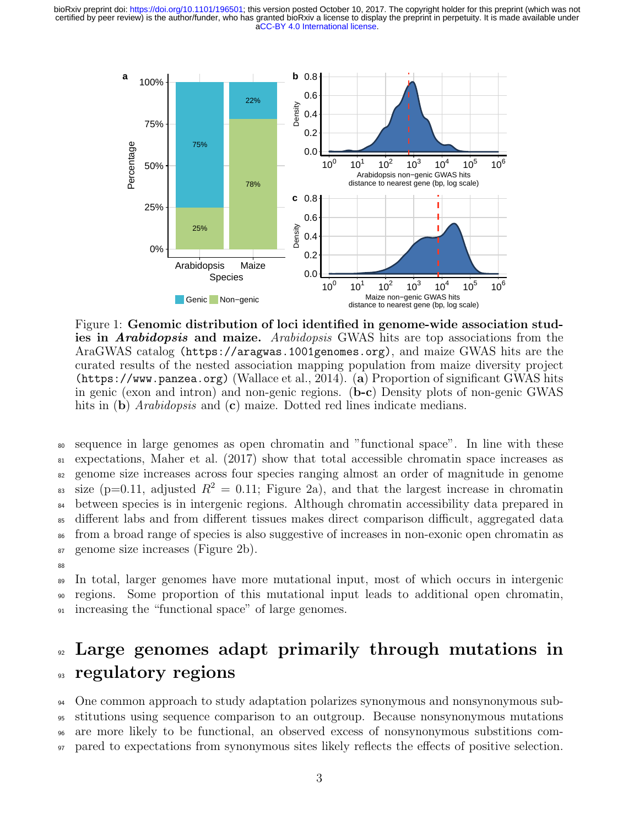

Figure 1: Genomic distribution of loci identified in genome-wide association studies in *Arabidopsis* and maize. Arabidopsis GWAS hits are top associations from the AraGWAS catalog (https://aragwas.1001genomes.org), and maize GWAS hits are the curated results of the nested association mapping population from maize diversity project (https://www.panzea.org) (Wallace et al., 2014). (a) Proportion of significant GWAS hits in genic (exon and intron) and non-genic regions. (b-c) Density plots of non-genic GWAS hits in (b) *Arabidopsis* and (c) maize. Dotted red lines indicate medians.

 sequence in large genomes as open chromatin and "functional space". In line with these expectations, Maher et al. (2017) show that total accessible chromatin space increases as genome size increases across four species ranging almost an order of magnitude in genome 83 size (p=0.11, adjusted  $R^2 = 0.11$ ; Figure 2a), and that the largest increase in chromatin between species is in intergenic regions. Although chromatin accessibility data prepared in different labs and from different tissues makes direct comparison difficult, aggregated data from a broad range of species is also suggestive of increases in non-exonic open chromatin as genome size increases (Figure 2b).

88

<sup>89</sup> In total, larger genomes have more mutational input, most of which occurs in intergenic <sup>90</sup> regions. Some proportion of this mutational input leads to additional open chromatin, <sup>91</sup> increasing the "functional space" of large genomes.

# <sup>92</sup> Large genomes adapt primarily through mutations in <sup>93</sup> regulatory regions

 One common approach to study adaptation polarizes synonymous and nonsynonymous sub- stitutions using sequence comparison to an outgroup. Because nonsynonymous mutations are more likely to be functional, an observed excess of nonsynonymous substitions com-pared to expectations from synonymous sites likely reflects the effects of positive selection.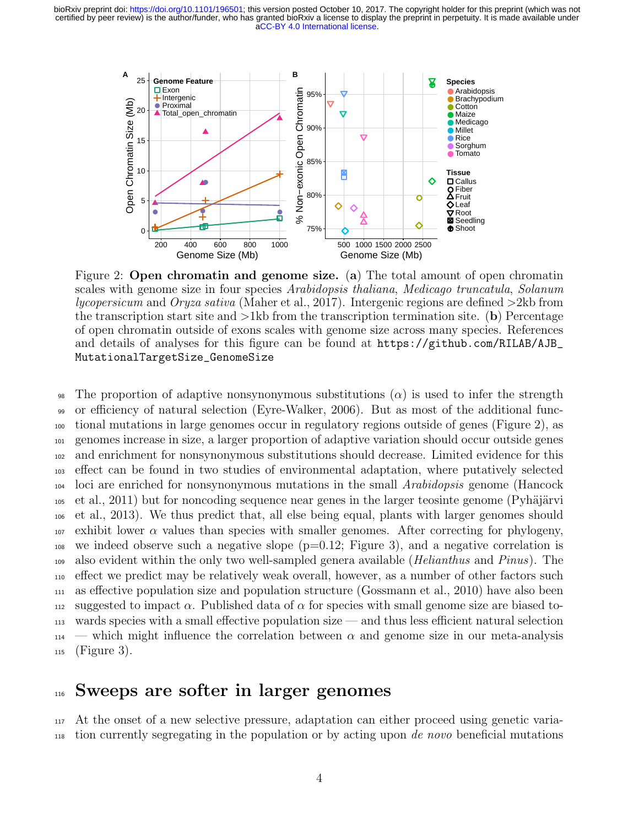

Figure 2: Open chromatin and genome size. (a) The total amount of open chromatin scales with genome size in four species Arabidopsis thaliana, Medicago truncatula, Solanum lycopersicum and Oryza sativa (Maher et al., 2017). Intergenic regions are defined  $>2$ kb from the transcription start site and  $>1$ kb from the transcription termination site. (b) Percentage of open chromatin outside of exons scales with genome size across many species. References and details of analyses for this figure can be found at https://github.com/RILAB/AJB\_ MutationalTargetSize\_GenomeSize

98 The proportion of adaptive nonsynonymous substitutions  $(\alpha)$  is used to infer the strength or efficiency of natural selection (Eyre-Walker, 2006). But as most of the additional func- tional mutations in large genomes occur in regulatory regions outside of genes (Figure 2), as genomes increase in size, a larger proportion of adaptive variation should occur outside genes and enrichment for nonsynonymous substitutions should decrease. Limited evidence for this effect can be found in two studies of environmental adaptation, where putatively selected loci are enriched for nonsynonymous mutations in the small Arabidopsis genome (Hancock et al., 2011) but for noncoding sequence near genes in the larger teosinte genome (Pyhäjärvi et al., 2013). We thus predict that, all else being equal, plants with larger genomes should exhibit lower  $\alpha$  values than species with smaller genomes. After correcting for phylogeny, we indeed observe such a negative slope (p=0.12; Figure 3), and a negative correlation is <sup>109</sup> also evident within the only two well-sampled genera available (*Helianthus* and *Pinus*). The effect we predict may be relatively weak overall, however, as a number of other factors such as effective population size and population structure (Gossmann et al., 2010) have also been suggested to impact α. Published data of α for species with small genome size are biased to- wards species with a small effective population size — and thus less efficient natural selection — which might influence the correlation between  $\alpha$  and genome size in our meta-analysis (Figure 3).

#### <sup>116</sup> Sweeps are softer in larger genomes

<sup>117</sup> At the onset of a new selective pressure, adaptation can either proceed using genetic varia-<sup>118</sup> tion currently segregating in the population or by acting upon de novo beneficial mutations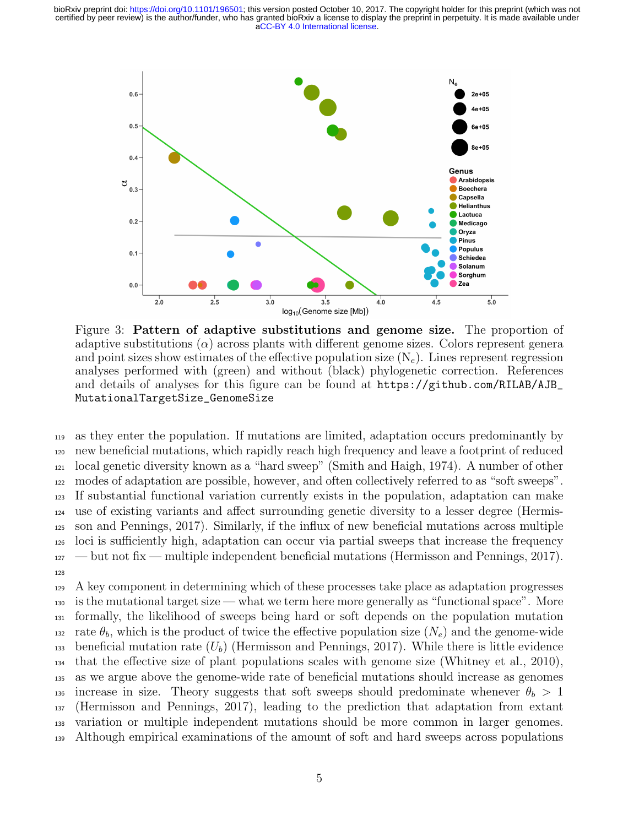

Figure 3: Pattern of adaptive substitutions and genome size. The proportion of adaptive substitutions  $(\alpha)$  across plants with different genome sizes. Colors represent genera and point sizes show estimates of the effective population size  $(N_e)$ . Lines represent regression analyses performed with (green) and without (black) phylogenetic correction. References and details of analyses for this figure can be found at https://github.com/RILAB/AJB\_ MutationalTargetSize\_GenomeSize

 as they enter the population. If mutations are limited, adaptation occurs predominantly by new beneficial mutations, which rapidly reach high frequency and leave a footprint of reduced local genetic diversity known as a "hard sweep" (Smith and Haigh, 1974). A number of other modes of adaptation are possible, however, and often collectively referred to as "soft sweeps". If substantial functional variation currently exists in the population, adaptation can make use of existing variants and affect surrounding genetic diversity to a lesser degree (Hermis- son and Pennings, 2017). Similarly, if the influx of new beneficial mutations across multiple loci is sufficiently high, adaptation can occur via partial sweeps that increase the frequency  $_{127}$  — but not fix — multiple independent beneficial mutations (Hermisson and Pennings, 2017). 128

 A key component in determining which of these processes take place as adaptation progresses is the mutational target size — what we term here more generally as "functional space". More formally, the likelihood of sweeps being hard or soft depends on the population mutation 132 rate  $\theta_b$ , which is the product of twice the effective population size  $(N_e)$  and the genome-wide <sup>133</sup> beneficial mutation rate  $(U_b)$  (Hermisson and Pennings, 2017). While there is little evidence that the effective size of plant populations scales with genome size (Whitney et al., 2010), as we argue above the genome-wide rate of beneficial mutations should increase as genomes 136 increase in size. Theory suggests that soft sweeps should predominate whenever  $\theta_b > 1$  (Hermisson and Pennings, 2017), leading to the prediction that adaptation from extant variation or multiple independent mutations should be more common in larger genomes. Although empirical examinations of the amount of soft and hard sweeps across populations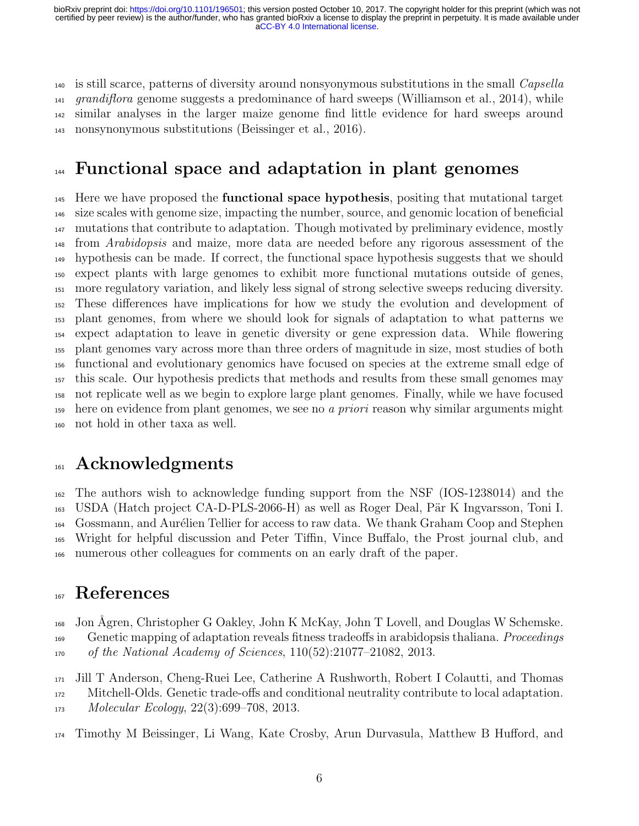$_{140}$  is still scarce, patterns of diversity around nonsyonymous substitutions in the small *Capsella*  $_{141}$  grandiflora genome suggests a predominance of hard sweeps (Williamson et al., 2014), while similar analyses in the larger maize genome find little evidence for hard sweeps around nonsynonymous substitutions (Beissinger et al., 2016).

## <sup>144</sup> Functional space and adaptation in plant genomes

<sup>145</sup> Here we have proposed the **functional space hypothesis**, positing that mutational target size scales with genome size, impacting the number, source, and genomic location of beneficial mutations that contribute to adaptation. Though motivated by preliminary evidence, mostly <sup>148</sup> from *Arabidopsis* and maize, more data are needed before any rigorous assessment of the hypothesis can be made. If correct, the functional space hypothesis suggests that we should expect plants with large genomes to exhibit more functional mutations outside of genes, more regulatory variation, and likely less signal of strong selective sweeps reducing diversity. These differences have implications for how we study the evolution and development of plant genomes, from where we should look for signals of adaptation to what patterns we expect adaptation to leave in genetic diversity or gene expression data. While flowering plant genomes vary across more than three orders of magnitude in size, most studies of both functional and evolutionary genomics have focused on species at the extreme small edge of this scale. Our hypothesis predicts that methods and results from these small genomes may not replicate well as we begin to explore large plant genomes. Finally, while we have focused 159 here on evidence from plant genomes, we see no a priori reason why similar arguments might not hold in other taxa as well.

#### Acknowledgments

 The authors wish to acknowledge funding support from the NSF (IOS-1238014) and the <sup>163</sup> USDA (Hatch project CA-D-PLS-2066-H) as well as Roger Deal, Pär K Ingvarsson, Toni I. Gossmann, and Aur´elien Tellier for access to raw data. We thank Graham Coop and Stephen Wright for helpful discussion and Peter Tiffin, Vince Buffalo, the Prost journal club, and numerous other colleagues for comments on an early draft of the paper.

#### References

Jon ˚Agren, Christopher G Oakley, John K McKay, John T Lovell, and Douglas W Schemske.

<sup>169</sup> Genetic mapping of adaptation reveals fitness tradeoffs in arabidopsis thaliana. *Proceedings* of the National Academy of Sciences, 110(52):21077–21082, 2013.

Jill T Anderson, Cheng-Ruei Lee, Catherine A Rushworth, Robert I Colautti, and Thomas

Mitchell-Olds. Genetic trade-offs and conditional neutrality contribute to local adaptation.

Molecular Ecology, 22(3):699–708, 2013.

Timothy M Beissinger, Li Wang, Kate Crosby, Arun Durvasula, Matthew B Hufford, and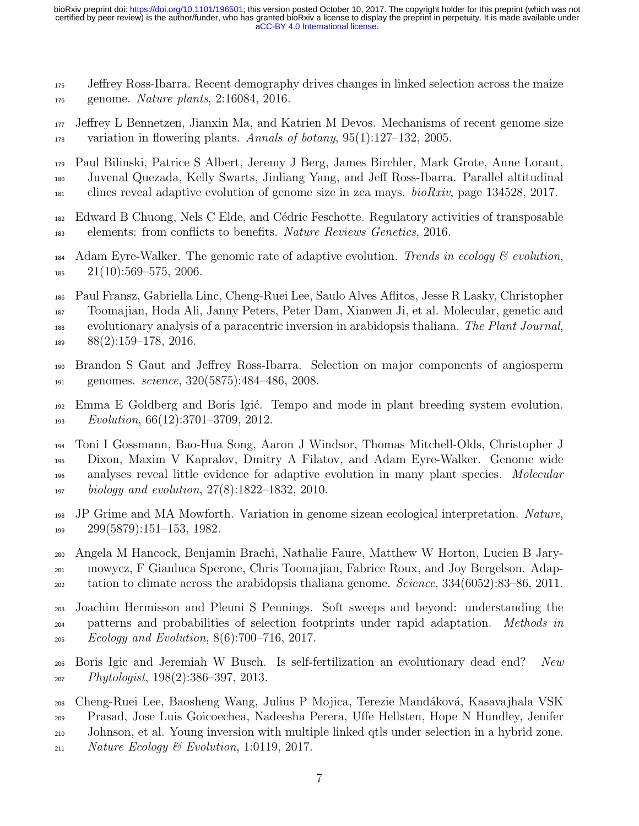- Jeffrey Ross-Ibarra. Recent demography drives changes in linked selection across the maize genome. Nature plants, 2:16084, 2016.
- Jeffrey L Bennetzen, Jianxin Ma, and Katrien M Devos. Mechanisms of recent genome size  $\mu_{178}$  variation in flowering plants. Annals of botany, 95(1):127–132, 2005.
- Paul Bilinski, Patrice S Albert, Jeremy J Berg, James Birchler, Mark Grote, Anne Lorant, Juvenal Quezada, Kelly Swarts, Jinliang Yang, and Jeff Ross-Ibarra. Parallel altitudinal  $_{181}$  clines reveal adaptive evolution of genome size in zea mays. *bioRxiv*, page 134528, 2017.
- Edward B Chuong, Nels C Elde, and C´edric Feschotte. Regulatory activities of transposable elements: from conflicts to benefits. Nature Reviews Genetics, 2016.
- 184 Adam Eyre-Walker. The genomic rate of adaptive evolution. Trends in ecology  $\mathcal{C}$  evolution,  $185 \quad 21(10):569-575,2006.$
- Paul Fransz, Gabriella Linc, Cheng-Ruei Lee, Saulo Alves Aflitos, Jesse R Lasky, Christopher Toomajian, Hoda Ali, Janny Peters, Peter Dam, Xianwen Ji, et al. Molecular, genetic and <sup>188</sup> evolutionary analysis of a paracentric inversion in arabidopsis thaliana. The Plant Journal, 88(2):159–178, 2016.
- Brandon S Gaut and Jeffrey Ross-Ibarra. Selection on major components of angiosperm 191 genomes. *science*, 320(5875):484–486, 2008.
- <sup>192</sup> Emma E Goldberg and Boris Igić. Tempo and mode in plant breeding system evolution. Evolution, 66(12):3701–3709, 2012.

 Toni I Gossmann, Bao-Hua Song, Aaron J Windsor, Thomas Mitchell-Olds, Christopher J Dixon, Maxim V Kapralov, Dmitry A Filatov, and Adam Eyre-Walker. Genome wide <sub>196</sub> analyses reveal little evidence for adaptive evolution in many plant species. Molecular biology and evolution, 27(8):1822–1832, 2010.

- JP Grime and MA Mowforth. Variation in genome sizean ecological interpretation. Nature, 299(5879):151–153, 1982.
- Angela M Hancock, Benjamin Brachi, Nathalie Faure, Matthew W Horton, Lucien B Jary- mowycz, F Gianluca Sperone, Chris Toomajian, Fabrice Roux, and Joy Bergelson. Adap-tation to climate across the arabidopsis thaliana genome. *Science*,  $334(6052):83-86, 2011$ .
- Joachim Hermisson and Pleuni S Pennings. Soft sweeps and beyond: understanding the <sub>204</sub> patterns and probabilities of selection footprints under rapid adaptation. *Methods in* Ecology and Evolution, 8(6):700–716, 2017.
- Boris Igic and Jeremiah W Busch. Is self-fertilization an evolutionary dead end? New Phytologist,  $198(2):386-397, 2013$ .
- Cheng-Ruei Lee, Baosheng Wang, Julius P Mojica, Terezie Mand´akov´a, Kasavajhala VSK Prasad, Jose Luis Goicoechea, Nadeesha Perera, Uffe Hellsten, Hope N Hundley, Jenifer Johnson, et al. Young inversion with multiple linked qtls under selection in a hybrid zone.  $_{211}$  Nature Ecology & Evolution, 1:0119, 2017.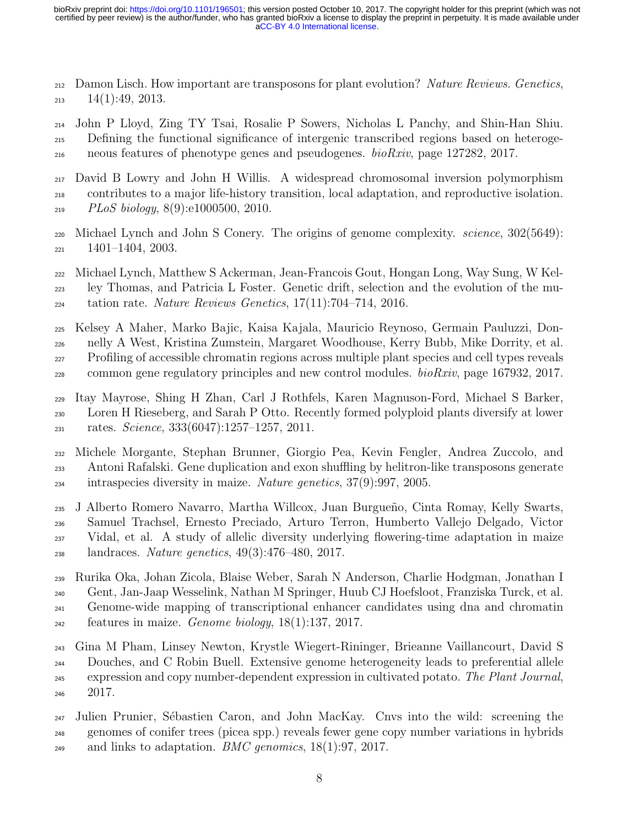212 Damon Lisch. How important are transposons for plant evolution? Nature Reviews. Genetics,  $213 \quad 14(1):49, 2013.$ 

 John P Lloyd, Zing TY Tsai, Rosalie P Sowers, Nicholas L Panchy, and Shin-Han Shiu. Defining the functional significance of intergenic transcribed regions based on heteroge-neous features of phenotype genes and pseudogenes. bioRxiv, page 127282, 2017.

 David B Lowry and John H Willis. A widespread chromosomal inversion polymorphism contributes to a major life-history transition, local adaptation, and reproductive isolation. PLoS biology, 8(9):e1000500, 2010.

 Michael Lynch and John S Conery. The origins of genome complexity. science, 302(5649):  $221 \quad 1401 - 1404, 2003.$ 

 Michael Lynch, Matthew S Ackerman, Jean-Francois Gout, Hongan Long, Way Sung, W Kel- ley Thomas, and Patricia L Foster. Genetic drift, selection and the evolution of the mu- $_{224}$  tation rate. Nature Reviews Genetics, 17(11):704–714, 2016.

Kelsey A Maher, Marko Bajic, Kaisa Kajala, Mauricio Reynoso, Germain Pauluzzi, Don-

nelly A West, Kristina Zumstein, Margaret Woodhouse, Kerry Bubb, Mike Dorrity, et al.

Profiling of accessible chromatin regions across multiple plant species and cell types reveals

 $_{228}$  common gene regulatory principles and new control modules.  $bioRxiv$ , page 167932, 2017.

 Itay Mayrose, Shing H Zhan, Carl J Rothfels, Karen Magnuson-Ford, Michael S Barker, Loren H Rieseberg, and Sarah P Otto. Recently formed polyploid plants diversify at lower rates. *Science*,  $333(6047):1257-1257$ ,  $2011$ .

 Michele Morgante, Stephan Brunner, Giorgio Pea, Kevin Fengler, Andrea Zuccolo, and Antoni Rafalski. Gene duplication and exon shuffling by helitron-like transposons generate intraspecies diversity in maize. *Nature genetics*,  $37(9)$ :997, 2005.

 J Alberto Romero Navarro, Martha Willcox, Juan Burgue˜no, Cinta Romay, Kelly Swarts, Samuel Trachsel, Ernesto Preciado, Arturo Terron, Humberto Vallejo Delgado, Victor Vidal, et al. A study of allelic diversity underlying flowering-time adaptation in maize landraces. Nature genetics, 49(3):476–480, 2017.

 Rurika Oka, Johan Zicola, Blaise Weber, Sarah N Anderson, Charlie Hodgman, Jonathan I Gent, Jan-Jaap Wesselink, Nathan M Springer, Huub CJ Hoefsloot, Franziska Turck, et al. Genome-wide mapping of transcriptional enhancer candidates using dna and chromatin features in maize. Genome biology,  $18(1):137, 2017$ .

 Gina M Pham, Linsey Newton, Krystle Wiegert-Rininger, Brieanne Vaillancourt, David S Douches, and C Robin Buell. Extensive genome heterogeneity leads to preferential allele expression and copy number-dependent expression in cultivated potato. The Plant Journal, 2017.

<sup>247</sup> Julien Prunier, Sébastien Caron, and John MacKay. Cnvs into the wild: screening the genomes of conifer trees (picea spp.) reveals fewer gene copy number variations in hybrids 249 and links to adaptation. *BMC genomics*,  $18(1):97, 2017$ .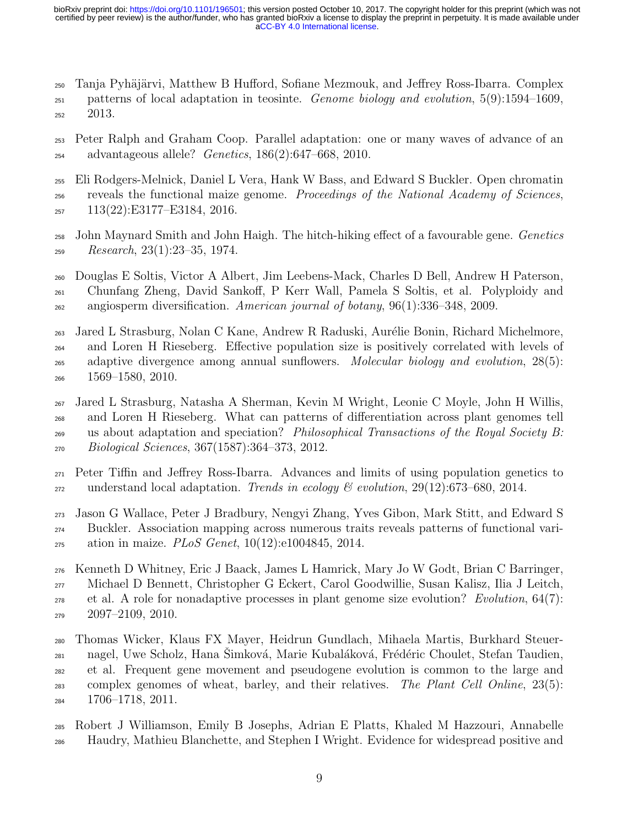<sub>250</sub> Tanja Pyhäjärvi, Matthew B Hufford, Sofiane Mezmouk, and Jeffrey Ross-Ibarra. Complex  $_{251}$  patterns of local adaptation in teosinte. *Genome biology and evolution*,  $5(9):1594-1609$ , 2013.

- Peter Ralph and Graham Coop. Parallel adaptation: one or many waves of advance of an advantageous allele? Genetics, 186(2):647–668, 2010.
- Eli Rodgers-Melnick, Daniel L Vera, Hank W Bass, and Edward S Buckler. Open chromatin reveals the functional maize genome. Proceedings of the National Academy of Sciences, 113(22):E3177–E3184, 2016.
- John Maynard Smith and John Haigh. The hitch-hiking effect of a favourable gene. Genetics  $P_{259}$  Research, 23(1):23–35, 1974.

 Douglas E Soltis, Victor A Albert, Jim Leebens-Mack, Charles D Bell, Andrew H Paterson, Chunfang Zheng, David Sankoff, P Kerr Wall, Pamela S Soltis, et al. Polyploidy and <sub>262</sub> angiosperm diversification. American journal of botany,  $96(1):336-348$ , 2009.

 Jared L Strasburg, Nolan C Kane, Andrew R Raduski, Aur´elie Bonin, Richard Michelmore, and Loren H Rieseberg. Effective population size is positively correlated with levels of <sub>265</sub> adaptive divergence among annual sunflowers. Molecular biology and evolution, 28(5): 1569–1580, 2010.

 Jared L Strasburg, Natasha A Sherman, Kevin M Wright, Leonie C Moyle, John H Willis, and Loren H Rieseberg. What can patterns of differentiation across plant genomes tell <sup>269</sup> us about adaptation and speciation? *Philosophical Transactions of the Royal Society B*: Biological Sciences, 367(1587):364–373, 2012.

 Peter Tiffin and Jeffrey Ross-Ibarra. Advances and limits of using population genetics to 272 understand local adaptation. Trends in ecology  $\mathcal C$  evolution, 29(12):673–680, 2014.

 Jason G Wallace, Peter J Bradbury, Nengyi Zhang, Yves Gibon, Mark Stitt, and Edward S Buckler. Association mapping across numerous traits reveals patterns of functional vari-275 ation in maize. *PLoS Genet*,  $10(12):e1004845$ , 2014.

 Kenneth D Whitney, Eric J Baack, James L Hamrick, Mary Jo W Godt, Brian C Barringer, Michael D Bennett, Christopher G Eckert, Carol Goodwillie, Susan Kalisz, Ilia J Leitch,  $_{278}$  et al. A role for nonadaptive processes in plant genome size evolution? Evolution, 64(7): 2097–2109, 2010.

 Thomas Wicker, Klaus FX Mayer, Heidrun Gundlach, Mihaela Martis, Burkhard Steuer-<sub>281</sub> nagel, Uwe Scholz, Hana Šimková, Marie Kubaláková, Frédéric Choulet, Stefan Taudien, et al. Frequent gene movement and pseudogene evolution is common to the large and complex genomes of wheat, barley, and their relatives. The Plant Cell Online, 23(5): 1706–1718, 2011.

 Robert J Williamson, Emily B Josephs, Adrian E Platts, Khaled M Hazzouri, Annabelle Haudry, Mathieu Blanchette, and Stephen I Wright. Evidence for widespread positive and